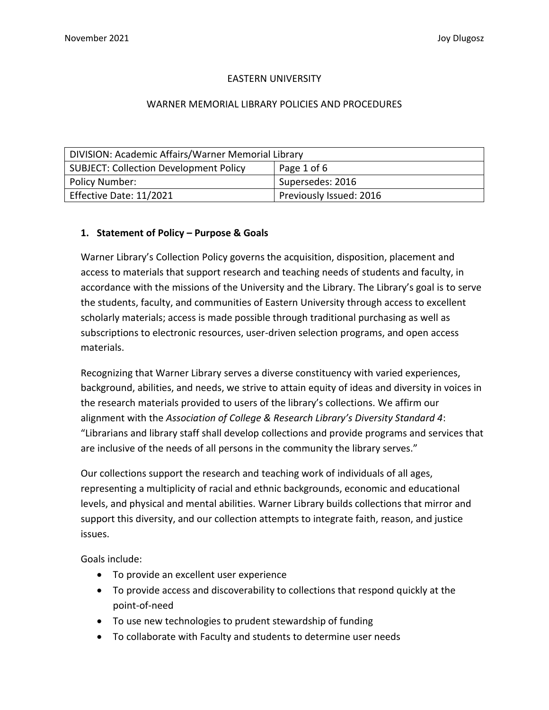## EASTERN UNIVERSITY

#### WARNER MEMORIAL LIBRARY POLICIES AND PROCEDURES

| DIVISION: Academic Affairs/Warner Memorial Library |                         |
|----------------------------------------------------|-------------------------|
| <b>SUBJECT: Collection Development Policy</b>      | Page 1 of 6             |
| Policy Number:                                     | Supersedes: 2016        |
| Effective Date: 11/2021                            | Previously Issued: 2016 |

#### **1. Statement of Policy – Purpose & Goals**

Warner Library's Collection Policy governs the acquisition, disposition, placement and access to materials that support research and teaching needs of students and faculty, in accordance with the missions of the University and the Library. The Library's goal is to serve the students, faculty, and communities of Eastern University through access to excellent scholarly materials; access is made possible through traditional purchasing as well as subscriptions to electronic resources, user-driven selection programs, and open access materials.

Recognizing that Warner Library serves a diverse constituency with varied experiences, background, abilities, and needs, we strive to attain equity of ideas and diversity in voices in the research materials provided to users of the library's collections. We affirm our alignment with the *Association of College & Research Library's Diversity Standard 4*: "Librarians and library staff shall develop collections and provide programs and services that are inclusive of the needs of all persons in the community the library serves."

Our collections support the research and teaching work of individuals of all ages, representing a multiplicity of racial and ethnic backgrounds, economic and educational levels, and physical and mental abilities. Warner Library builds collections that mirror and support this diversity, and our collection attempts to integrate faith, reason, and justice issues.

Goals include:

- To provide an excellent user experience
- To provide access and discoverability to collections that respond quickly at the point-of-need
- To use new technologies to prudent stewardship of funding
- To collaborate with Faculty and students to determine user needs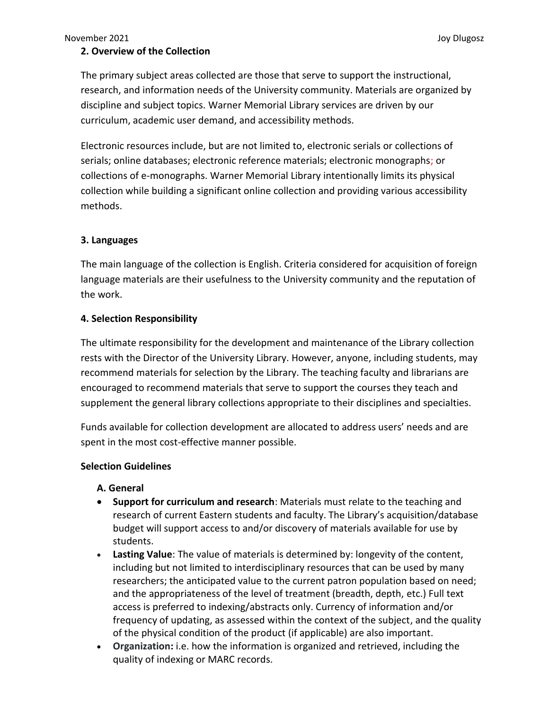## **2. Overview of the Collection**

The primary subject areas collected are those that serve to support the instructional, research, and information needs of the University community. Materials are organized by discipline and subject topics. Warner Memorial Library services are driven by our curriculum, academic user demand, and accessibility methods.

Electronic resources include, but are not limited to, electronic serials or collections of serials; online databases; electronic reference materials; electronic monographs; or collections of e-monographs. Warner Memorial Library intentionally limits its physical collection while building a significant online collection and providing various accessibility methods.

## **3. Languages**

The main language of the collection is English. Criteria considered for acquisition of foreign language materials are their usefulness to the University community and the reputation of the work.

## **4. Selection Responsibility**

The ultimate responsibility for the development and maintenance of the Library collection rests with the Director of the University Library. However, anyone, including students, may recommend materials for selection by the Library. The teaching faculty and librarians are encouraged to recommend materials that serve to support the courses they teach and supplement the general library collections appropriate to their disciplines and specialties.

Funds available for collection development are allocated to address users' needs and are spent in the most cost-effective manner possible.

#### **Selection Guidelines**

#### **A. General**

- **Support for curriculum and research**: Materials must relate to the teaching and research of current Eastern students and faculty. The Library's acquisition/database budget will support access to and/or discovery of materials available for use by students.
- **Lasting Value**: The value of materials is determined by: longevity of the content, including but not limited to interdisciplinary resources that can be used by many researchers; the anticipated value to the current patron population based on need; and the appropriateness of the level of treatment (breadth, depth, etc.) Full text access is preferred to indexing/abstracts only. Currency of information and/or frequency of updating, as assessed within the context of the subject, and the quality of the physical condition of the product (if applicable) are also important.
- **Organization:** i.e. how the information is organized and retrieved, including the quality of indexing or MARC records.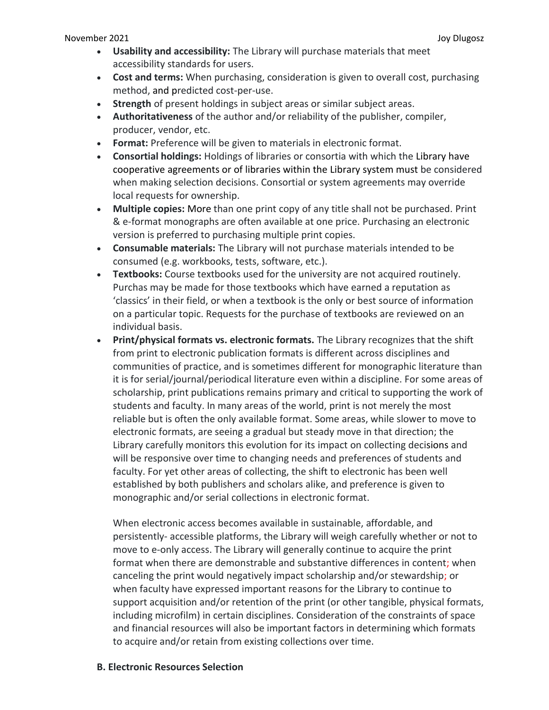- **Usability and accessibility:** The Library will purchase materials that meet accessibility standards for users.
- **Cost and terms:** When purchasing, consideration is given to overall cost, purchasing method, and predicted cost-per-use.
- **Strength** of present holdings in subject areas or similar subject areas.
- **Authoritativeness** of the author and/or reliability of the publisher, compiler, producer, vendor, etc.
- **Format:** Preference will be given to materials in electronic format.
- **Consortial holdings:** Holdings of libraries or consortia with which the Library have cooperative agreements or of libraries within the Library system must be considered when making selection decisions. Consortial or system agreements may override local requests for ownership.
- **Multiple copies:** More than one print copy of any title shall not be purchased. Print & e-format monographs are often available at one price. Purchasing an electronic version is preferred to purchasing multiple print copies.
- **Consumable materials:** The Library will not purchase materials intended to be consumed (e.g. workbooks, tests, software, etc.).
- **Textbooks:** Course textbooks used for the university are not acquired routinely. Purchas may be made for those textbooks which have earned a reputation as 'classics' in their field, or when a textbook is the only or best source of information on a particular topic. Requests for the purchase of textbooks are reviewed on an individual basis.
- **Print/physical formats vs. electronic formats.** The Library recognizes that the shift from print to electronic publication formats is different across disciplines and communities of practice, and is sometimes different for monographic literature than it is for serial/journal/periodical literature even within a discipline. For some areas of scholarship, print publications remains primary and critical to supporting the work of students and faculty. In many areas of the world, print is not merely the most reliable but is often the only available format. Some areas, while slower to move to electronic formats, are seeing a gradual but steady move in that direction; the Library carefully monitors this evolution for its impact on collecting decisions and will be responsive over time to changing needs and preferences of students and faculty. For yet other areas of collecting, the shift to electronic has been well established by both publishers and scholars alike, and preference is given to monographic and/or serial collections in electronic format.

When electronic access becomes available in sustainable, affordable, and persistently- accessible platforms, the Library will weigh carefully whether or not to move to e-only access. The Library will generally continue to acquire the print format when there are demonstrable and substantive differences in content; when canceling the print would negatively impact scholarship and/or stewardship; or when faculty have expressed important reasons for the Library to continue to support acquisition and/or retention of the print (or other tangible, physical formats, including microfilm) in certain disciplines. Consideration of the constraints of space and financial resources will also be important factors in determining which formats to acquire and/or retain from existing collections over time.

**B. Electronic Resources Selection**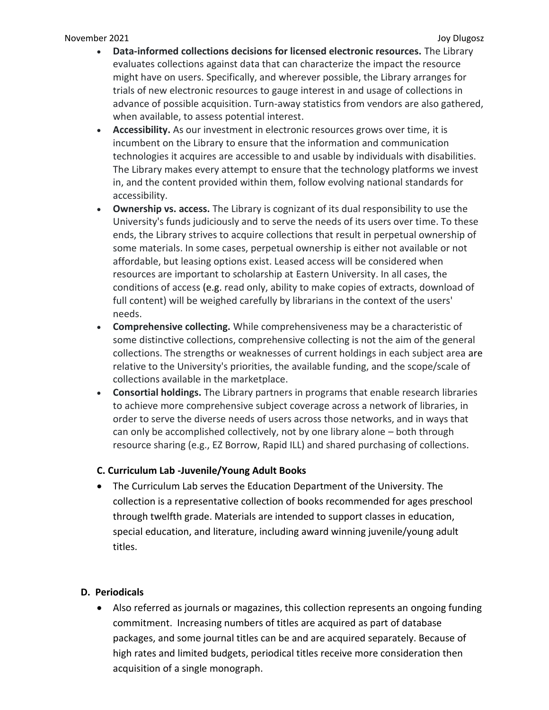- **Data-informed collections decisions for licensed electronic resources.** The Library evaluates collections against data that can characterize the impact the resource might have on users. Specifically, and wherever possible, the Library arranges for trials of new electronic resources to gauge interest in and usage of collections in advance of possible acquisition. Turn-away statistics from vendors are also gathered, when available, to assess potential interest.
- **Accessibility.** As our investment in electronic resources grows over time, it is incumbent on the Library to ensure that the information and communication technologies it acquires are accessible to and usable by individuals with disabilities. The Library makes every attempt to ensure that the technology platforms we invest in, and the content provided within them, follow evolving national standards for accessibility.
- **Ownership vs. access.** The Library is cognizant of its dual responsibility to use the University's funds judiciously and to serve the needs of its users over time. To these ends, the Library strives to acquire collections that result in perpetual ownership of some materials. In some cases, perpetual ownership is either not available or not affordable, but leasing options exist. Leased access will be considered when resources are important to scholarship at Eastern University. In all cases, the conditions of access (e.g. read only, ability to make copies of extracts, download of full content) will be weighed carefully by librarians in the context of the users' needs.
- **Comprehensive collecting.** While comprehensiveness may be a characteristic of some distinctive collections, comprehensive collecting is not the aim of the general collections. The strengths or weaknesses of current holdings in each subject area are relative to the University's priorities, the available funding, and the scope/scale of collections available in the marketplace.
- **Consortial holdings.** The Library partners in programs that enable research libraries to achieve more comprehensive subject coverage across a network of libraries, in order to serve the diverse needs of users across those networks, and in ways that can only be accomplished collectively, not by one library alone – both through resource sharing (e.g., EZ Borrow, Rapid ILL) and shared purchasing of collections.

# **C. Curriculum Lab -Juvenile/Young Adult Books**

 The Curriculum Lab serves the Education Department of the University. The collection is a representative collection of books recommended for ages preschool through twelfth grade. Materials are intended to support classes in education, special education, and literature, including award winning juvenile/young adult titles.

# **D. Periodicals**

 Also referred as journals or magazines, this collection represents an ongoing funding commitment. Increasing numbers of titles are acquired as part of database packages, and some journal titles can be and are acquired separately. Because of high rates and limited budgets, periodical titles receive more consideration then acquisition of a single monograph.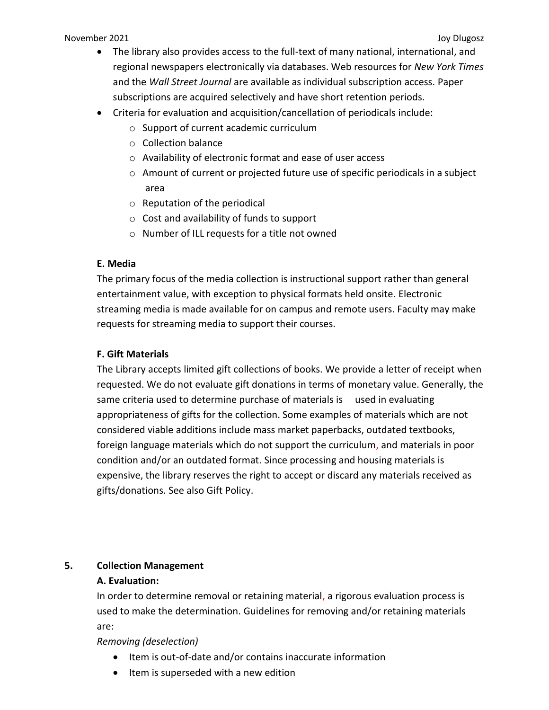#### November 2021 **Joy Diugosz** Joy Diugosz **Joy Diugosz** Joy Diugosz **Joy Diugosz** Joy Diugosz Joy Diugosz **Joy Diugosz**

- The library also provides access to the full-text of many national, international, and regional newspapers electronically via databases. Web resources for *New York Times* and the *Wall Street Journal* are available as individual subscription access. Paper subscriptions are acquired selectively and have short retention periods.
- Criteria for evaluation and acquisition/cancellation of periodicals include:
	- o Support of current academic curriculum
	- o Collection balance
	- o Availability of electronic format and ease of user access
	- $\circ$  Amount of current or projected future use of specific periodicals in a subject area
	- o Reputation of the periodical
	- o Cost and availability of funds to support
	- o Number of ILL requests for a title not owned

# **E. Media**

The primary focus of the media collection is instructional support rather than general entertainment value, with exception to physical formats held onsite. Electronic streaming media is made available for on campus and remote users. Faculty may make requests for streaming media to support their courses.

## **F. Gift Materials**

The Library accepts limited gift collections of books. We provide a letter of receipt when requested. We do not evaluate gift donations in terms of monetary value. Generally, the same criteria used to determine purchase of materials is used in evaluating appropriateness of gifts for the collection. Some examples of materials which are not considered viable additions include mass market paperbacks, outdated textbooks, foreign language materials which do not support the curriculum, and materials in poor condition and/or an outdated format. Since processing and housing materials is expensive, the library reserves the right to accept or discard any materials received as gifts/donations. See also Gift Policy.

# **5. Collection Management**

# **A. Evaluation:**

In order to determine removal or retaining material, a rigorous evaluation process is used to make the determination. Guidelines for removing and/or retaining materials are:

*Removing (deselection)*

- Item is out-of-date and/or contains inaccurate information
- $\bullet$  Item is superseded with a new edition